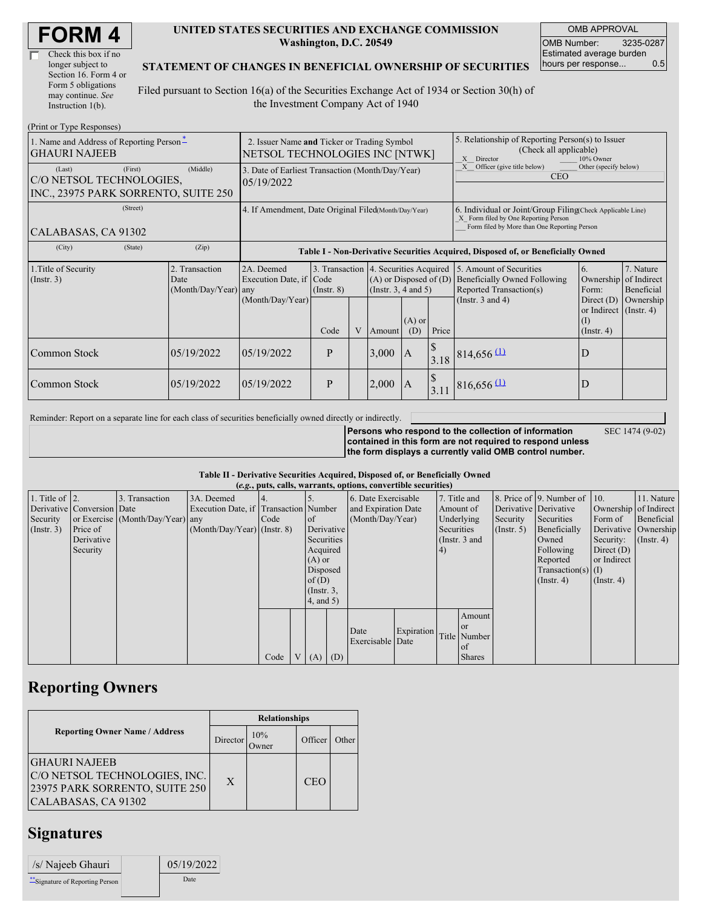| <b>FORM4</b> |
|--------------|
|--------------|

| Check this box if no  |
|-----------------------|
| longer subject to     |
| Section 16. Form 4 or |
| Form 5 obligations    |
| may continue. See     |
| Instruction 1(b).     |

 $(Drint or Trma D)$ 

#### **UNITED STATES SECURITIES AND EXCHANGE COMMISSION Washington, D.C. 20549**

OMB APPROVAL OMB Number: 3235-0287 Estimated average burden<br>hours per response... 0.5 hours per response...

### **STATEMENT OF CHANGES IN BENEFICIAL OWNERSHIP OF SECURITIES**

Filed pursuant to Section 16(a) of the Securities Exchange Act of 1934 or Section 30(h) of the Investment Company Act of 1940

| 1. Name and Address of Reporting Person-<br><b>GHAURI NAJEEB</b>                      | 2. Issuer Name and Ticker or Trading Symbol<br>NETSOL TECHNOLOGIES INC [NTWK] |                                                |                                                      |                         |   |                                                                                             | 5. Relationship of Reporting Person(s) to Issuer<br>(Check all applicable)<br>10% Owner<br>X Director |       |                                                                                                                                                    |                                                                   |                                                  |  |
|---------------------------------------------------------------------------------------|-------------------------------------------------------------------------------|------------------------------------------------|------------------------------------------------------|-------------------------|---|---------------------------------------------------------------------------------------------|-------------------------------------------------------------------------------------------------------|-------|----------------------------------------------------------------------------------------------------------------------------------------------------|-------------------------------------------------------------------|--------------------------------------------------|--|
| (First)<br>(Last)<br>C/O NETSOL TECHNOLOGIES.<br>INC., 23975 PARK SORRENTO, SUITE 250 | 3. Date of Earliest Transaction (Month/Day/Year)<br>05/19/2022                |                                                |                                                      |                         |   |                                                                                             | Officer (give title below)<br>Other (specify below)<br><b>CEO</b>                                     |       |                                                                                                                                                    |                                                                   |                                                  |  |
| (Street)<br>CALABASAS, CA 91302                                                       |                                                                               |                                                | 4. If Amendment, Date Original Filed(Month/Day/Year) |                         |   |                                                                                             |                                                                                                       |       | 6. Individual or Joint/Group Filing Check Applicable Line)<br>X Form filed by One Reporting Person<br>Form filed by More than One Reporting Person |                                                                   |                                                  |  |
| (City)                                                                                | (State)                                                                       | (Zip)                                          |                                                      |                         |   |                                                                                             |                                                                                                       |       | Table I - Non-Derivative Securities Acquired, Disposed of, or Beneficially Owned                                                                   |                                                                   |                                                  |  |
| 1. Title of Security<br>$($ Instr. 3 $)$                                              |                                                                               | 2. Transaction<br>Date<br>(Month/Day/Year) any | 2A. Deemed<br>Execution Date, if                     | Code<br>$($ Instr. $8)$ |   | 3. Transaction 4. Securities Acquired<br>$(A)$ or Disposed of $(D)$<br>(Insert. 3, 4 and 5) |                                                                                                       |       | 5. Amount of Securities<br>Beneficially Owned Following<br>Reported Transaction(s)                                                                 | 6.<br>Form:                                                       | 7. Nature<br>Ownership of Indirect<br>Beneficial |  |
|                                                                                       |                                                                               |                                                | (Month/Day/Year)                                     | Code                    | V | Amount                                                                                      | $(A)$ or<br>(D)                                                                                       | Price | (Instr. $3$ and $4$ )                                                                                                                              | Direct $(D)$<br>or Indirect (Instr. 4)<br>(1)<br>$($ Instr. 4 $)$ | Ownership                                        |  |
| Common Stock                                                                          |                                                                               | 05/19/2022                                     | 05/19/2022                                           | P                       |   | $3,000$  A                                                                                  |                                                                                                       |       | $3.18$ 814,656 (1)                                                                                                                                 | D                                                                 |                                                  |  |
| Common Stock                                                                          |                                                                               | 05/19/2022                                     | 05/19/2022                                           | P                       |   | 2,000                                                                                       | <sup>1</sup> A                                                                                        | 3.11  | $816,656$ $\underline{\text{1}}$                                                                                                                   | D                                                                 |                                                  |  |

Reminder: Report on a separate line for each class of securities beneficially owned directly or indirectly.

SEC 1474 (9-02)

**Persons who respond to the collection of information contained in this form are not required to respond unless the form displays a currently valid OMB control number.**

### **Table II - Derivative Securities Acquired, Disposed of, or Beneficially Owned**

|                        | (e.g., puts, calls, warrants, options, convertible securities) |                                  |                                       |      |  |                 |  |                     |            |            |                 |                       |                                              |                  |                       |
|------------------------|----------------------------------------------------------------|----------------------------------|---------------------------------------|------|--|-----------------|--|---------------------|------------|------------|-----------------|-----------------------|----------------------------------------------|------------------|-----------------------|
| 1. Title of $\vert$ 2. |                                                                | 3. Transaction                   | 3A. Deemed                            |      |  |                 |  | 6. Date Exercisable |            |            | 7. Title and    |                       | 8. Price of $\vert$ 9. Number of $\vert$ 10. |                  | 11. Nature            |
|                        | Derivative Conversion Date                                     |                                  | Execution Date, if Transaction Number |      |  |                 |  | and Expiration Date |            |            | Amount of       | Derivative Derivative |                                              |                  | Ownership of Indirect |
| Security               |                                                                | or Exercise (Month/Day/Year) any |                                       | Code |  | <sub>of</sub>   |  | (Month/Day/Year)    |            |            | Underlying      | Security              | Securities                                   | Form of          | Beneficial            |
| (Insert. 3)            | Price of                                                       |                                  | $(Month/Day/Year)$ (Instr. 8)         |      |  | Derivative      |  |                     |            | Securities |                 | $($ Instr. 5)         | Beneficially                                 |                  | Derivative Ownership  |
|                        | Derivative                                                     |                                  |                                       |      |  | Securities      |  |                     |            |            | (Instr. $3$ and |                       | Owned                                        | Security:        | $($ Instr. 4 $)$      |
|                        | Security                                                       |                                  |                                       |      |  | Acquired        |  |                     |            | $\vert 4)$ |                 |                       | Following                                    | Direct $(D)$     |                       |
|                        |                                                                |                                  |                                       |      |  | $(A)$ or        |  |                     |            |            |                 |                       | Reported                                     | or Indirect      |                       |
|                        |                                                                |                                  |                                       |      |  | Disposed        |  |                     |            |            |                 |                       | $Transaction(s)$ (I)                         |                  |                       |
|                        |                                                                |                                  |                                       |      |  | of(D)           |  |                     |            |            |                 |                       | $($ Instr. 4 $)$                             | $($ Instr. 4 $)$ |                       |
|                        |                                                                |                                  |                                       |      |  | $($ Instr. $3,$ |  |                     |            |            |                 |                       |                                              |                  |                       |
|                        |                                                                |                                  |                                       |      |  | 4, and 5)       |  |                     |            |            |                 |                       |                                              |                  |                       |
|                        |                                                                |                                  |                                       |      |  |                 |  |                     |            |            | Amount          |                       |                                              |                  |                       |
|                        |                                                                |                                  |                                       |      |  |                 |  | Date                | Expiration |            | <b>or</b>       |                       |                                              |                  |                       |
|                        |                                                                |                                  |                                       |      |  |                 |  | Exercisable Date    |            |            | Title Number    |                       |                                              |                  |                       |
|                        |                                                                |                                  |                                       |      |  |                 |  |                     |            |            | of              |                       |                                              |                  |                       |
|                        |                                                                |                                  |                                       | Code |  | $V(A)$ (D)      |  |                     |            |            | <b>Shares</b>   |                       |                                              |                  |                       |

### **Reporting Owners**

|                                                                                                                | <b>Relationships</b> |     |         |       |  |  |  |  |
|----------------------------------------------------------------------------------------------------------------|----------------------|-----|---------|-------|--|--|--|--|
| <b>Reporting Owner Name / Address</b>                                                                          | Director             | 10% | Officer | Other |  |  |  |  |
| <b>GHAURI NAJEEB</b><br>C/O NETSOL TECHNOLOGIES, INC.<br>23975 PARK SORRENTO, SUITE 250<br>CALABASAS, CA 91302 | X                    |     | CEO     |       |  |  |  |  |

## **Signatures**

| /s/ Najeeb Ghauri                | 05/19/2022 |
|----------------------------------|------------|
| ** Signature of Reporting Person | Date       |